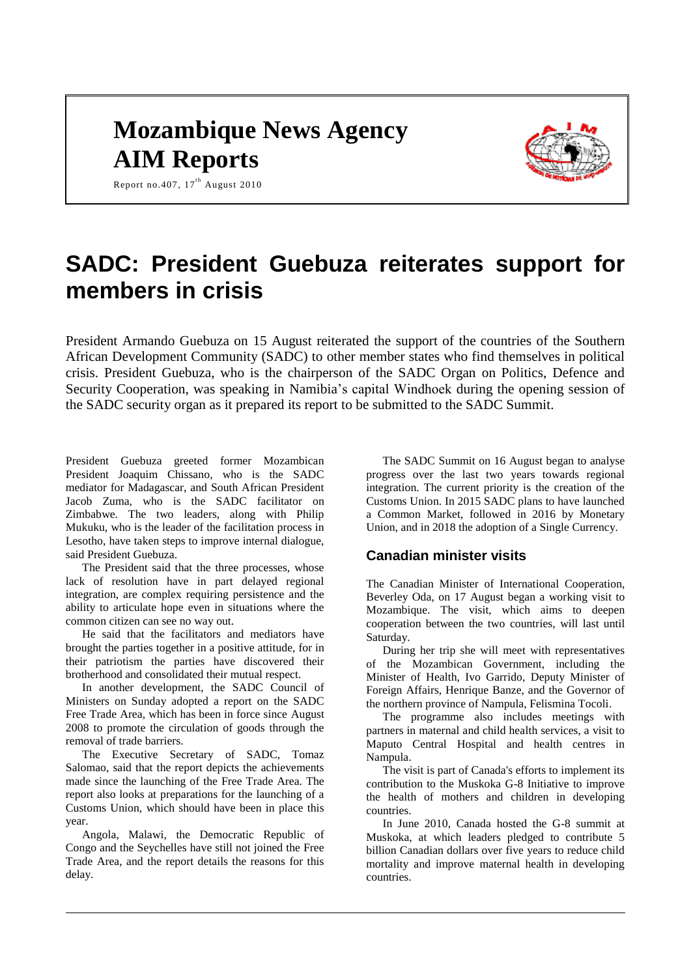# **Mozambique News Agency AIM Reports**



Report no. 407,  $17<sup>th</sup>$  August 2010

# **SADC: President Guebuza reiterates support for members in crisis**

President Armando Guebuza on 15 August reiterated the support of the countries of the Southern African Development Community (SADC) to other member states who find themselves in political crisis. President Guebuza, who is the chairperson of the SADC Organ on Politics, Defence and Security Cooperation, was speaking in Namibia's capital Windhoek during the opening session of the SADC security organ as it prepared its report to be submitted to the SADC Summit.

President Guebuza greeted former Mozambican President Joaquim Chissano, who is the SADC mediator for Madagascar, and South African President Jacob Zuma, who is the SADC facilitator on Zimbabwe. The two leaders, along with Philip Mukuku, who is the leader of the facilitation process in Lesotho, have taken steps to improve internal dialogue, said President Guebuza.

The President said that the three processes, whose lack of resolution have in part delayed regional integration, are complex requiring persistence and the ability to articulate hope even in situations where the common citizen can see no way out.

He said that the facilitators and mediators have brought the parties together in a positive attitude, for in their patriotism the parties have discovered their brotherhood and consolidated their mutual respect.

In another development, the SADC Council of Ministers on Sunday adopted a report on the SADC Free Trade Area, which has been in force since August 2008 to promote the circulation of goods through the removal of trade barriers.

The Executive Secretary of SADC, Tomaz Salomao, said that the report depicts the achievements made since the launching of the Free Trade Area. The report also looks at preparations for the launching of a Customs Union, which should have been in place this year.

Angola, Malawi, the Democratic Republic of Congo and the Seychelles have still not joined the Free Trade Area, and the report details the reasons for this delay.

The SADC Summit on 16 August began to analyse progress over the last two years towards regional integration. The current priority is the creation of the Customs Union. In 2015 SADC plans to have launched a Common Market, followed in 2016 by Monetary Union, and in 2018 the adoption of a Single Currency.

## **Canadian minister visits**

The Canadian Minister of International Cooperation, Beverley Oda, on 17 August began a working visit to Mozambique. The visit, which aims to deepen cooperation between the two countries, will last until Saturday.

During her trip she will meet with representatives of the Mozambican Government, including the Minister of Health, Ivo Garrido, Deputy Minister of Foreign Affairs, Henrique Banze, and the Governor of the northern province of Nampula, Felismina Tocoli.

The programme also includes meetings with partners in maternal and child health services, a visit to Maputo Central Hospital and health centres in Nampula.

The visit is part of Canada's efforts to implement its contribution to the Muskoka G-8 Initiative to improve the health of mothers and children in developing countries.

In June 2010, Canada hosted the G-8 summit at Muskoka, at which leaders pledged to contribute 5 billion Canadian dollars over five years to reduce child mortality and improve maternal health in developing countries.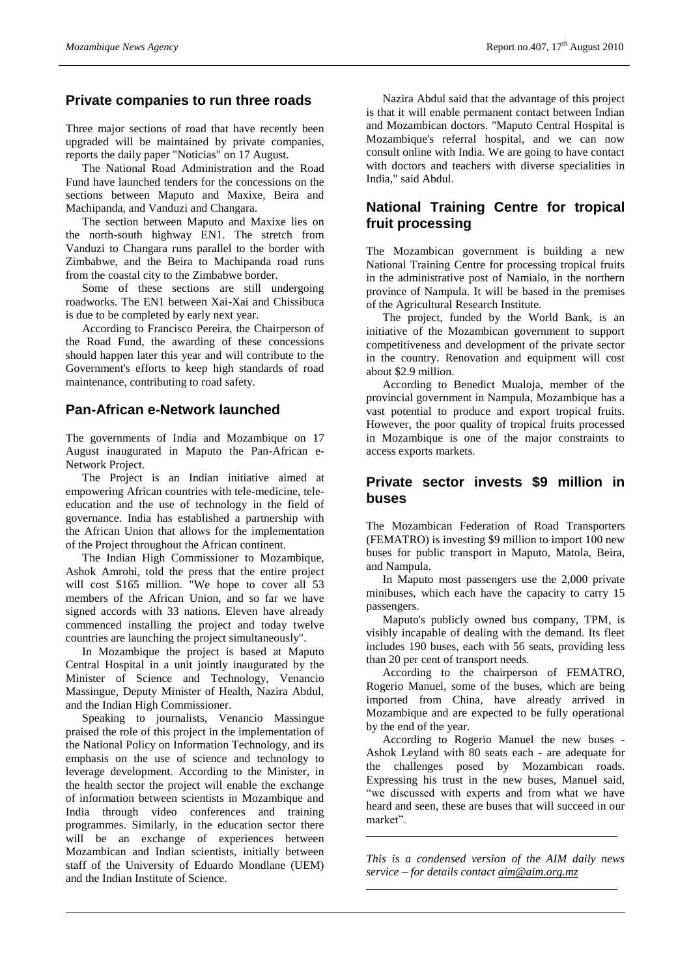#### **Private companies to run three roads**

Three major sections of road that have recently been upgraded will be maintained by private companies, reports the daily paper "Noticias" on 17 August.

The National Road Administration and the Road Fund have launched tenders for the concessions on the sections between Maputo and Maxixe, Beira and Machipanda, and Vanduzi and Changara.

The section between Maputo and Maxixe lies on the north-south highway EN1. The stretch from Vanduzi to Changara runs parallel to the border with Zimbabwe, and the Beira to Machipanda road runs from the coastal city to the Zimbabwe border.

Some of these sections are still undergoing roadworks. The EN1 between Xai-Xai and Chissibuca is due to be completed by early next year.

According to Francisco Pereira, the Chairperson of the Road Fund, the awarding of these concessions should happen later this year and will contribute to the Government's efforts to keep high standards of road maintenance, contributing to road safety.

#### **Pan-African e-Network launched**

The governments of India and Mozambique on 17 August inaugurated in Maputo the Pan-African e-Network Project.

The Project is an Indian initiative aimed at empowering African countries with tele-medicine, teleeducation and the use of technology in the field of governance. India has established a partnership with the African Union that allows for the implementation of the Project throughout the African continent.

The Indian High Commissioner to Mozambique, Ashok Amrohi, told the press that the entire project will cost \$165 million. "We hope to cover all 53 members of the African Union, and so far we have signed accords with 33 nations. Eleven have already commenced installing the project and today twelve countries are launching the project simultaneously".

In Mozambique the project is based at Maputo Central Hospital in a unit jointly inaugurated by the Minister of Science and Technology, Venancio Massingue, Deputy Minister of Health, Nazira Abdul, and the Indian High Commissioner.

Speaking to journalists, Venancio Massingue praised the role of this project in the implementation of the National Policy on Information Technology, and its emphasis on the use of science and technology to leverage development. According to the Minister, in the health sector the project will enable the exchange of information between scientists in Mozambique and India through video conferences and training programmes. Similarly, in the education sector there will be an exchange of experiences between Mozambican and Indian scientists, initially between staff of the University of Eduardo Mondlane (UEM) and the Indian Institute of Science.

Nazira Abdul said that the advantage of this project is that it will enable permanent contact between Indian and Mozambican doctors. "Maputo Central Hospital is Mozambique's referral hospital, and we can now consult online with India. We are going to have contact with doctors and teachers with diverse specialities in India," said Abdul.

## **National Training Centre for tropical fruit processing**

The Mozambican government is building a new National Training Centre for processing tropical fruits in the administrative post of Namialo, in the northern province of Nampula. It will be based in the premises of the Agricultural Research Institute.

The project, funded by the World Bank, is an initiative of the Mozambican government to support competitiveness and development of the private sector in the country. Renovation and equipment will cost about \$2.9 million.

According to Benedict Mualoja, member of the provincial government in Nampula, Mozambique has a vast potential to produce and export tropical fruits. However, the poor quality of tropical fruits processed in Mozambique is one of the major constraints to access exports markets.

### **Private sector invests \$9 million in buses**

The Mozambican Federation of Road Transporters (FEMATRO) is investing \$9 million to import 100 new buses for public transport in Maputo, Matola, Beira, and Nampula.

In Maputo most passengers use the 2,000 private minibuses, which each have the capacity to carry 15 passengers.

Maputo's publicly owned bus company, TPM, is visibly incapable of dealing with the demand. Its fleet includes 190 buses, each with 56 seats, providing less than 20 per cent of transport needs.

According to the chairperson of FEMATRO, Rogerio Manuel, some of the buses, which are being imported from China, have already arrived in Mozambique and are expected to be fully operational by the end of the year.

According to Rogerio Manuel the new buses - Ashok Leyland with 80 seats each - are adequate for the challenges posed by Mozambican roads. Expressing his trust in the new buses, Manuel said, "we discussed with experts and from what we have heard and seen, these are buses that will succeed in our market".

*This is a condensed version of the AIM daily news service – for details contact [aim@aim.org.mz](mailto:aim@aim.org.mz)*

\_\_\_\_\_\_\_\_\_\_\_\_\_\_\_\_\_\_\_\_\_\_\_\_\_\_\_\_\_\_\_\_\_\_\_\_\_\_\_\_\_\_\_\_\_\_\_\_\_\_\_\_\_\_\_\_\_\_\_\_\_\_\_\_\_

\_\_\_\_\_\_\_\_\_\_\_\_\_\_\_\_\_\_\_\_\_\_\_\_\_\_\_\_\_\_\_\_\_\_\_\_\_\_\_\_\_\_\_\_\_\_\_\_\_\_\_\_\_\_\_\_\_\_\_\_\_\_\_\_\_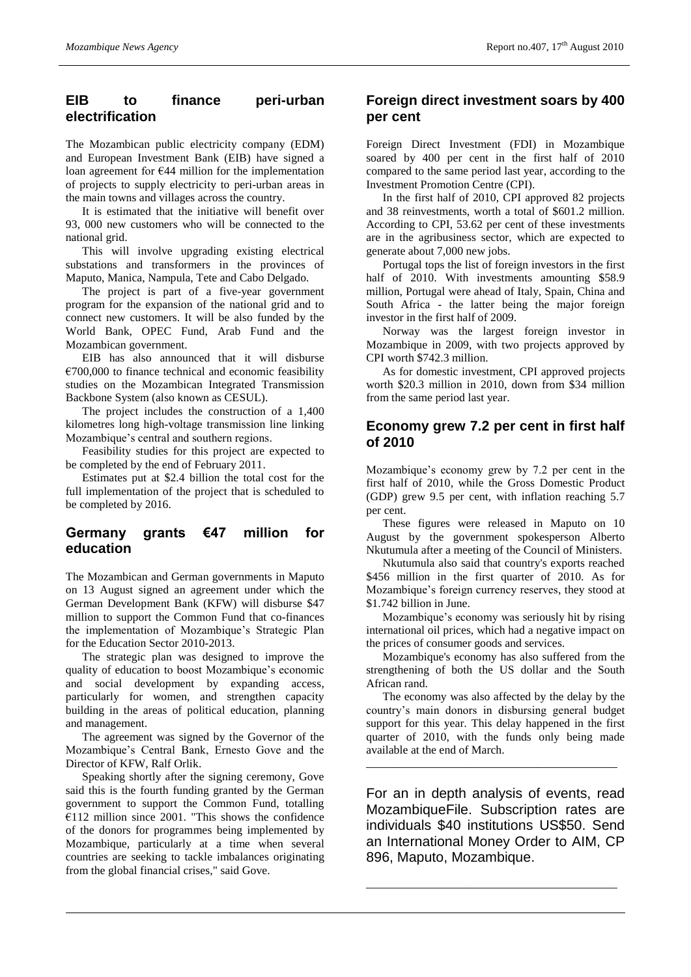## **EIB to finance peri-urban electrification**

The Mozambican public electricity company (EDM) and European Investment Bank (EIB) have signed a loan agreement for €44 million for the implementation of projects to supply electricity to peri-urban areas in the main towns and villages across the country.

It is estimated that the initiative will benefit over 93, 000 new customers who will be connected to the national grid.

This will involve upgrading existing electrical substations and transformers in the provinces of Maputo, Manica, Nampula, Tete and Cabo Delgado.

The project is part of a five-year government program for the expansion of the national grid and to connect new customers. It will be also funded by the World Bank, OPEC Fund, Arab Fund and the Mozambican government.

EIB has also announced that it will disburse  $€700,000$  to finance technical and economic feasibility studies on the Mozambican Integrated Transmission Backbone System (also known as CESUL).

The project includes the construction of a 1,400 kilometres long high-voltage transmission line linking Mozambique's central and southern regions.

Feasibility studies for this project are expected to be completed by the end of February 2011.

Estimates put at \$2.4 billion the total cost for the full implementation of the project that is scheduled to be completed by 2016.

### **Germany grants €47 million for education**

The Mozambican and German governments in Maputo on 13 August signed an agreement under which the German Development Bank (KFW) will disburse \$47 million to support the Common Fund that co-finances the implementation of Mozambique's Strategic Plan for the Education Sector 2010-2013.

The strategic plan was designed to improve the quality of education to boost Mozambique's economic and social development by expanding access, particularly for women, and strengthen capacity building in the areas of political education, planning and management.

The agreement was signed by the Governor of the Mozambique's Central Bank, Ernesto Gove and the Director of KFW, Ralf Orlik.

Speaking shortly after the signing ceremony, Gove said this is the fourth funding granted by the German government to support the Common Fund, totalling  $£112$  million since 2001. "This shows the confidence of the donors for programmes being implemented by Mozambique, particularly at a time when several countries are seeking to tackle imbalances originating from the global financial crises," said Gove.

## **Foreign direct investment soars by 400 per cent**

Foreign Direct Investment (FDI) in Mozambique soared by 400 per cent in the first half of 2010 compared to the same period last year, according to the Investment Promotion Centre (CPI).

In the first half of 2010, CPI approved 82 projects and 38 reinvestments, worth a total of \$601.2 million. According to CPI, 53.62 per cent of these investments are in the agribusiness sector, which are expected to generate about 7,000 new jobs.

Portugal tops the list of foreign investors in the first half of 2010. With investments amounting \$58.9 million, Portugal were ahead of Italy, Spain, China and South Africa - the latter being the major foreign investor in the first half of 2009.

Norway was the largest foreign investor in Mozambique in 2009, with two projects approved by CPI worth \$742.3 million.

As for domestic investment, CPI approved projects worth \$20.3 million in 2010, down from \$34 million from the same period last year.

#### **Economy grew 7.2 per cent in first half of 2010**

Mozambique's economy grew by 7.2 per cent in the first half of 2010, while the Gross Domestic Product (GDP) grew 9.5 per cent, with inflation reaching 5.7 per cent.

These figures were released in Maputo on 10 August by the government spokesperson Alberto Nkutumula after a meeting of the Council of Ministers.

Nkutumula also said that country's exports reached \$456 million in the first quarter of 2010. As for Mozambique's foreign currency reserves, they stood at \$1.742 billion in June.

Mozambique's economy was seriously hit by rising international oil prices, which had a negative impact on the prices of consumer goods and services.

Mozambique's economy has also suffered from the strengthening of both the US dollar and the South African rand.

The economy was also affected by the delay by the country's main donors in disbursing general budget support for this year. This delay happened in the first quarter of 2010, with the funds only being made available at the end of March.

\_\_\_\_\_\_\_\_\_\_\_\_\_\_\_\_\_\_\_\_\_\_\_\_\_\_\_\_\_\_\_\_\_\_\_\_\_\_\_\_\_\_\_\_\_\_\_\_\_\_\_\_\_\_\_\_\_\_\_\_\_\_\_\_\_

For an in depth analysis of events, read MozambiqueFile. Subscription rates are individuals \$40 institutions US\$50. Send an International Money Order to AIM, CP 896, Maputo, Mozambique.

\_\_\_\_\_\_\_\_\_\_\_\_\_\_\_\_\_\_\_\_\_\_\_\_\_\_\_\_\_\_\_\_\_\_\_\_\_\_\_\_\_\_\_\_\_\_\_\_\_\_\_\_\_\_\_\_\_\_\_\_\_\_\_\_\_